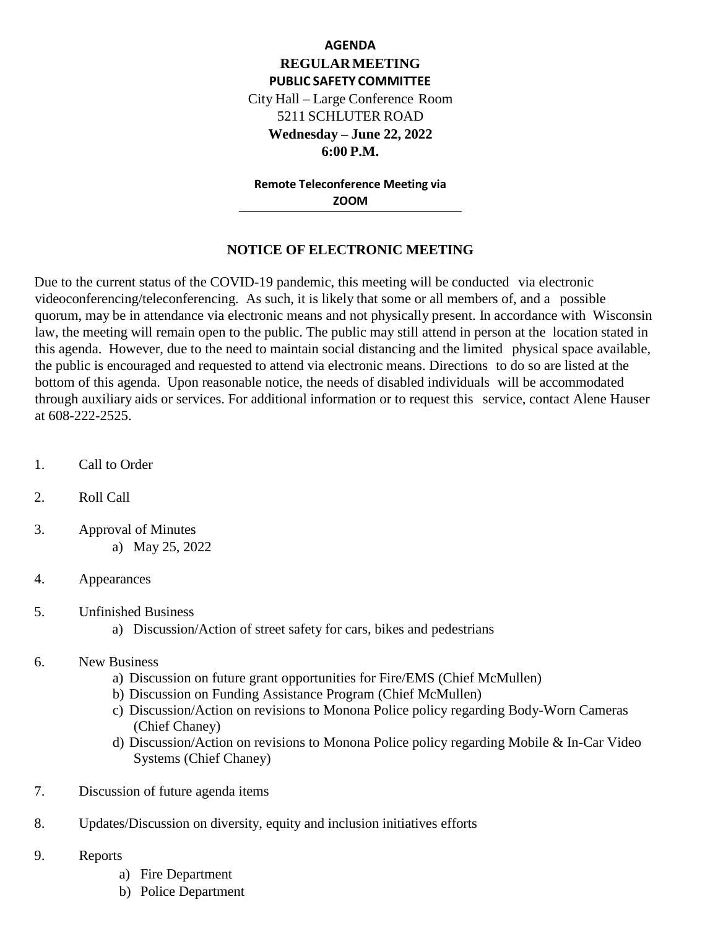## **AGENDA REGULARMEETING PUBLIC SAFETY COMMITTEE** City Hall – Large Conference Room 5211 SCHLUTER ROAD **Wednesday – June 22, 2022 6:00 P.M.**

**Remote Teleconference Meeting via ZOOM**

#### **NOTICE OF ELECTRONIC MEETING**

Due to the current status of the COVID-19 pandemic, this meeting will be conducted via electronic videoconferencing/teleconferencing. As such, it is likely that some or all members of, and a possible quorum, may be in attendance via electronic means and not physically present. In accordance with Wisconsin law, the meeting will remain open to the public. The public may still attend in person at the location stated in this agenda. However, due to the need to maintain social distancing and the limited physical space available, the public is encouraged and requested to attend via electronic means. Directions to do so are listed at the bottom of this agenda. Upon reasonable notice, the needs of disabled individuals will be accommodated through auxiliary aids or services. For additional information or to request this service, contact Alene Hauser at 608-222-2525.

- 1. Call to Order
- 2. Roll Call
- 3. Approval of Minutes a) May 25, 2022
- 4. Appearances
- 5. Unfinished Business
	- a) Discussion/Action of street safety for cars, bikes and pedestrians
- 6. New Business
	- a) Discussion on future grant opportunities for Fire/EMS (Chief McMullen)
	- b) Discussion on Funding Assistance Program (Chief McMullen)
	- c) Discussion/Action on revisions to Monona Police policy regarding Body-Worn Cameras (Chief Chaney)
	- d) Discussion/Action on revisions to Monona Police policy regarding Mobile & In-Car Video Systems (Chief Chaney)
- 7. Discussion of future agenda items
- 8. Updates/Discussion on diversity, equity and inclusion initiatives efforts
- 9. Reports
	- a) Fire Department
	- b) Police Department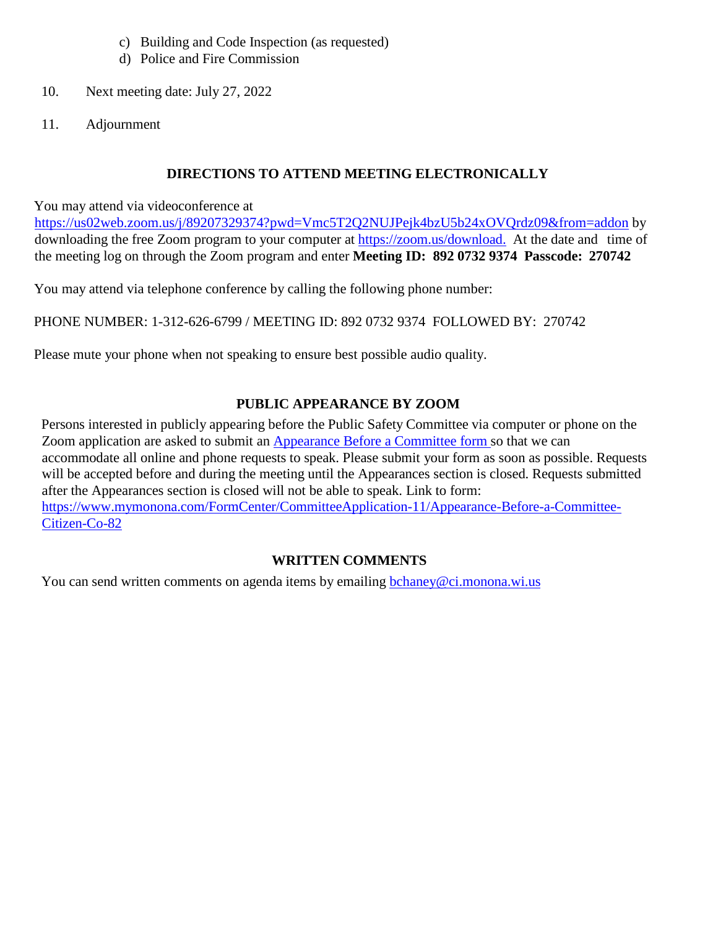- c) Building and Code Inspection (as requested)
- d) Police and Fire Commission
- 10. Next meeting date: July 27, 2022
- 11. Adjournment

## **DIRECTIONS TO ATTEND MEETING ELECTRONICALLY**

You may attend via videoconference at

<https://us02web.zoom.us/j/89207329374?pwd=Vmc5T2Q2NUJPejk4bzU5b24xOVQrdz09&from=addon> by downloading the free Zoom program to your computer at [https://zoom.us/download.](https://zoom.us/download) At the date and time of the meeting log on through the Zoom program and enter **Meeting ID: 892 0732 9374 Passcode: 270742**

You may attend via telephone conference by calling the following phone number:

PHONE NUMBER: 1-312-626-6799 / MEETING ID: 892 0732 9374 FOLLOWED BY: 270742

Please mute your phone when not speaking to ensure best possible audio quality.

## **PUBLIC APPEARANCE BY ZOOM**

Persons interested in publicly appearing before the Public Safety Committee via computer or phone on the Zoom application are asked to submit an [Appearance](https://www.mymonona.com/FormCenter/CommitteeApplication-11/Appearance-Before-a-Committee-Citizen-Co-82) Before a Committee form so that we can accommodate all online and phone requests to speak. Please submit your form as soon as possible. Requests will be accepted before and during the meeting until the Appearances section is closed. Requests submitted after the Appearances section is closed will not be able to speak. Link to form: [https://www.mymonona.com/FormCenter/CommitteeApplication-11/Appearance-Before-a-Committee-](https://www.mymonona.com/FormCenter/CommitteeApplication-11/Appearance-Before-a-Committee-Citizen-Co-82)[Citizen-Co-82](https://www.mymonona.com/FormCenter/CommitteeApplication-11/Appearance-Before-a-Committee-Citizen-Co-82)

## **WRITTEN COMMENTS**

You can send written comments on agenda items by emailing [bchaney@ci.monona.wi.us](mailto:bchaney@ci.monona.wi.us)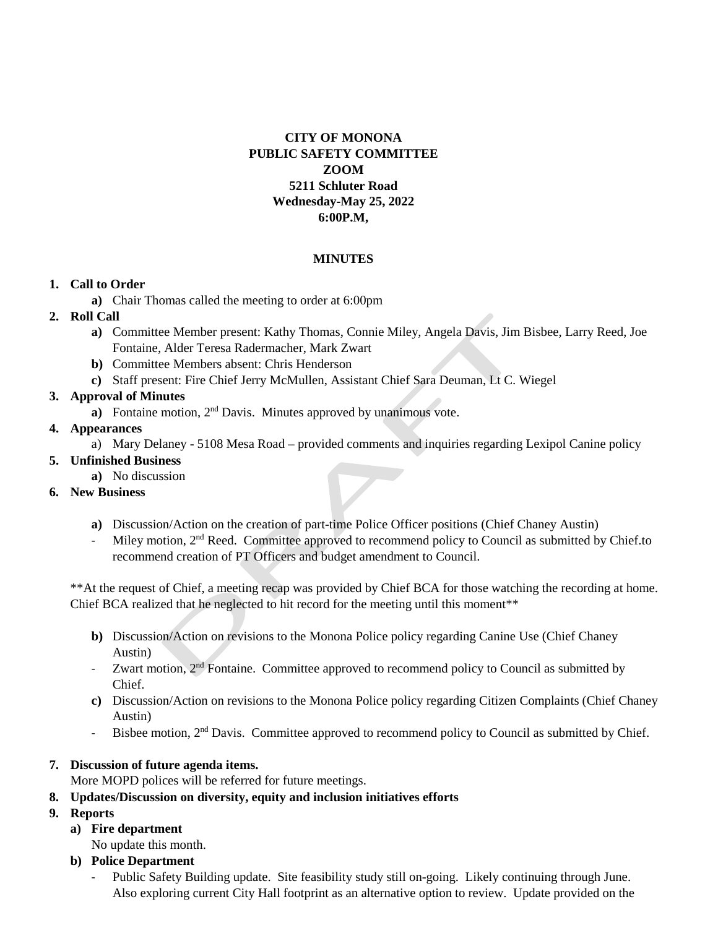## **CITY OF MONONA PUBLIC SAFETY COMMITTEE ZOOM 5211 Schluter Road Wednesday-May 25, 2022 6:00P.M,**

#### **MINUTES**

#### **1. Call to Order**

**a)** Chair Thomas called the meeting to order at 6:00pm

## **2. Roll Call**

- **a)** Committee Member present: Kathy Thomas, Connie Miley, Angela Davis, Jim Bisbee, Larry Reed, Joe Fontaine, Alder Teresa Radermacher, Mark Zwart
- **b)** Committee Members absent: Chris Henderson
- **c)** Staff present: Fire Chief Jerry McMullen, Assistant Chief Sara Deuman, Lt C. Wiegel

#### **3. Approval of Minutes**

**a**) Fontaine motion, 2<sup>nd</sup> Davis. Minutes approved by unanimous vote.

#### **4. Appearances**

- a) Mary Delaney 5108 Mesa Road provided comments and inquiries regarding Lexipol Canine policy
- **5. Unfinished Business**
	- **a)** No discussion
- **6. New Business**
	- **a)** Discussion/Action on the creation of part-time Police Officer positions (Chief Chaney Austin)
	- Miley motion, 2<sup>nd</sup> Reed. Committee approved to recommend policy to Council as submitted by Chief.to recommend creation of PT Officers and budget amendment to Council.

\*\*At the request of Chief, a meeting recap was provided by Chief BCA for those watching the recording at home. Chief BCA realized that he neglected to hit record for the meeting until this moment\*\*

- **b)** Discussion/Action on revisions to the Monona Police policy regarding Canine Use (Chief Chaney Austin)
- Zwart motion, 2<sup>nd</sup> Fontaine. Committee approved to recommend policy to Council as submitted by Chief.
- **c)** Discussion/Action on revisions to the Monona Police policy regarding Citizen Complaints (Chief Chaney Austin)
- Bisbee motion, 2<sup>nd</sup> Davis. Committee approved to recommend policy to Council as submitted by Chief.

#### **7. Discussion of future agenda items.**

More MOPD polices will be referred for future meetings.

#### **8. Updates/Discussion on diversity, equity and inclusion initiatives efforts**

- **9. Reports**
	- **a) Fire department**

No update this month.

- **b) Police Department**
	- Public Safety Building update. Site feasibility study still on-going. Likely continuing through June. Also exploring current City Hall footprint as an alternative option to review. Update provided on the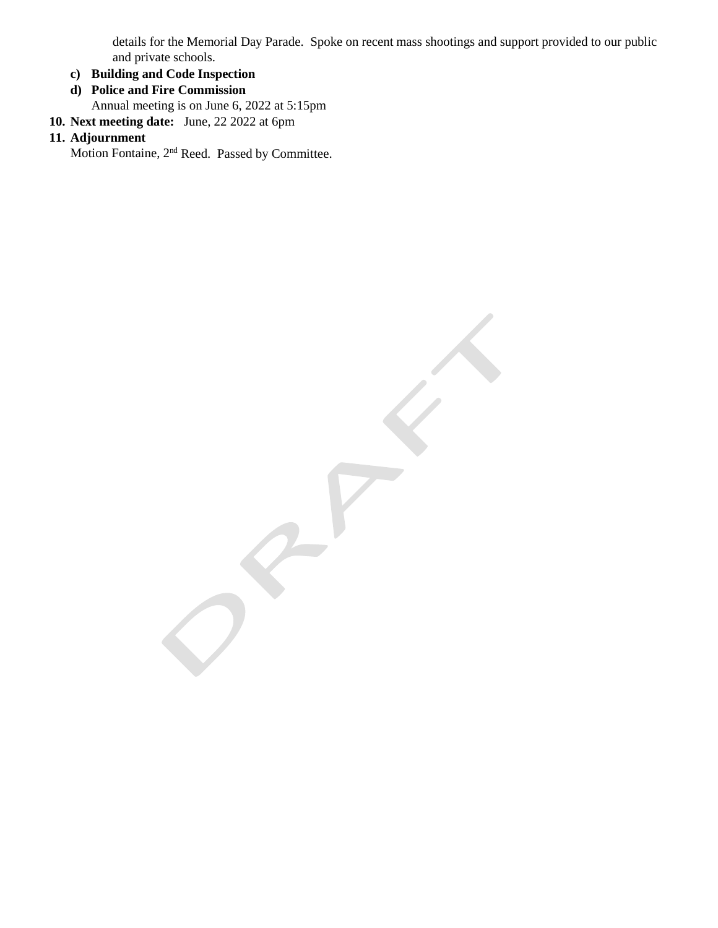details for the Memorial Day Parade. Spoke on recent mass shootings and support provided to our public and private schools.

- **c) Building and Code Inspection**
- **d) Police and Fire Commission** Annual meeting is on June 6, 2022 at 5:15pm
- **10. Next meeting date:** June, 22 2022 at 6pm

#### **11. Adjournment**

Motion Fontaine, 2<sup>nd</sup> Reed. Passed by Committee.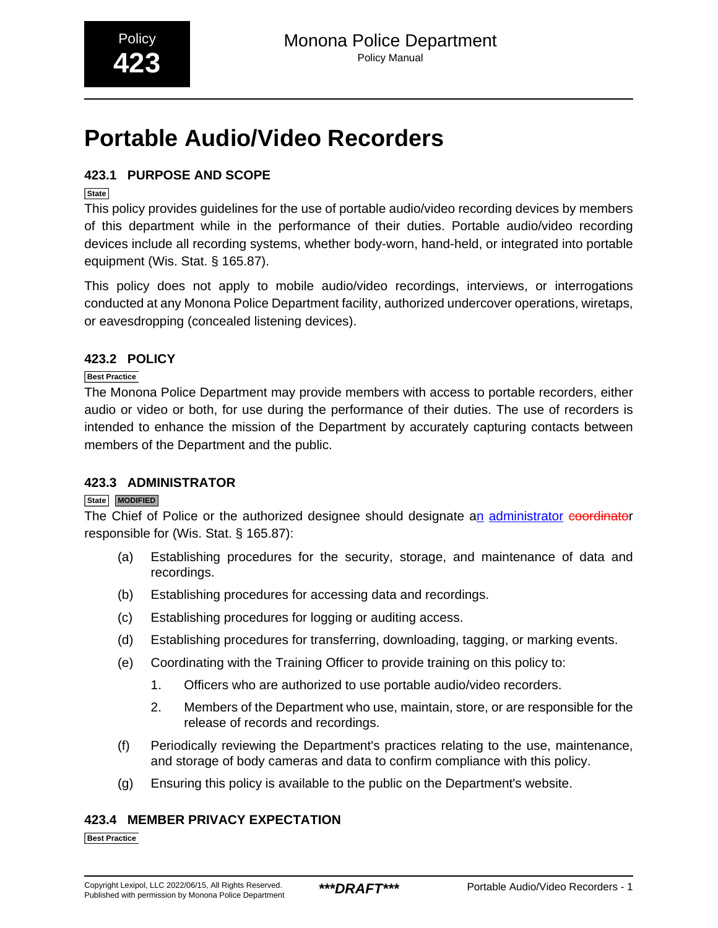# **Portable Audio/Video Recorders**

## **423.1 PURPOSE AND SCOPE**

## **State**

This policy provides guidelines for the use of portable audio/video recording devices by members of this department while in the performance of their duties. Portable audio/video recording devices include all recording systems, whether body-worn, hand-held, or integrated into portable equipment (Wis. Stat. § 165.87).

This policy does not apply to mobile audio/video recordings, interviews, or interrogations conducted at any Monona Police Department facility, authorized undercover operations, wiretaps, or eavesdropping (concealed listening devices).

## **423.2 POLICY**

## **Best Practice**

The Monona Police Department may provide members with access to portable recorders, either audio or video or both, for use during the performance of their duties. The use of recorders is intended to enhance the mission of the Department by accurately capturing contacts between members of the Department and the public.

## **423.3 ADMINISTRATOR**

## **State MODIFIED**

The Chief of Police or the authorized designee should designate an administrator coordinator responsible for (Wis. Stat. § 165.87):

- (a) Establishing procedures for the security, storage, and maintenance of data and recordings.
- (b) Establishing procedures for accessing data and recordings.
- (c) Establishing procedures for logging or auditing access.
- (d) Establishing procedures for transferring, downloading, tagging, or marking events.
- (e) Coordinating with the Training Officer to provide training on this policy to:
	- 1. Officers who are authorized to use portable audio/video recorders.
	- 2. Members of the Department who use, maintain, store, or are responsible for the release of records and recordings.
- (f) Periodically reviewing the Department's practices relating to the use, maintenance, and storage of body cameras and data to confirm compliance with this policy.
- (g) Ensuring this policy is available to the public on the Department's website.

## **423.4 MEMBER PRIVACY EXPECTATION**

**Best Practice**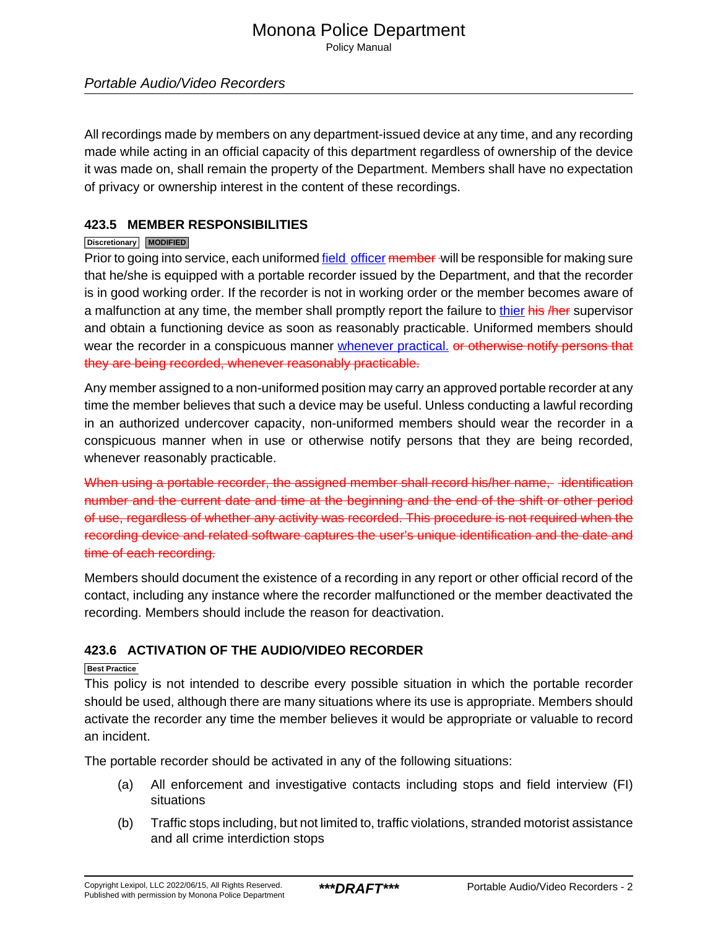## Monona Police Department Policy Manual

## Portable Audio/Video Recorders

All recordings made by members on any department-issued device at any time, and any recording made while acting in an official capacity of this department regardless of ownership of the device it was made on, shall remain the property of the Department. Members shall have no expectation of privacy or ownership interest in the content of these recordings.

## **423.5 MEMBER RESPONSIBILITIES**

#### **Discretionary MODIFIED**

Prior to going into service, each uniformed field officer member will be responsible for making sure that he/she is equipped with a portable recorder issued by the Department, and that the recorder is in good working order. If the recorder is not in working order or the member becomes aware of a malfunction at any time, the member shall promptly report the failure to thier his /her supervisor and obtain a functioning device as soon as reasonably practicable. Uniformed members should wear the recorder in a conspicuous manner whenever practical. or otherwise notify persons that they are being recorded, whenever reasonably practicable.

Any member assigned to a non-uniformed position may carry an approved portable recorder at any time the member believes that such a device may be useful. Unless conducting a lawful recording in an authorized undercover capacity, non-uniformed members should wear the recorder in a conspicuous manner when in use or otherwise notify persons that they are being recorded, whenever reasonably practicable.

When using a portable recorder, the assigned member shall record his/her name, identification number and the current date and time at the beginning and the end of the shift or other period of use, regardless of whether any activity was recorded. This procedure is not required when the recording device and related software captures the user's unique identification and the date and time of each recording.

Members should document the existence of a recording in any report or other official record of the contact, including any instance where the recorder malfunctioned or the member deactivated the recording. Members should include the reason for deactivation.

## **423.6 ACTIVATION OF THE AUDIO/VIDEO RECORDER**

#### **Best Practice**

This policy is not intended to describe every possible situation in which the portable recorder should be used, although there are many situations where its use is appropriate. Members should activate the recorder any time the member believes it would be appropriate or valuable to record an incident.

The portable recorder should be activated in any of the following situations:

- (a) All enforcement and investigative contacts including stops and field interview (FI) situations
- (b) Traffic stops including, but not limited to, traffic violations, stranded motorist assistance and all crime interdiction stops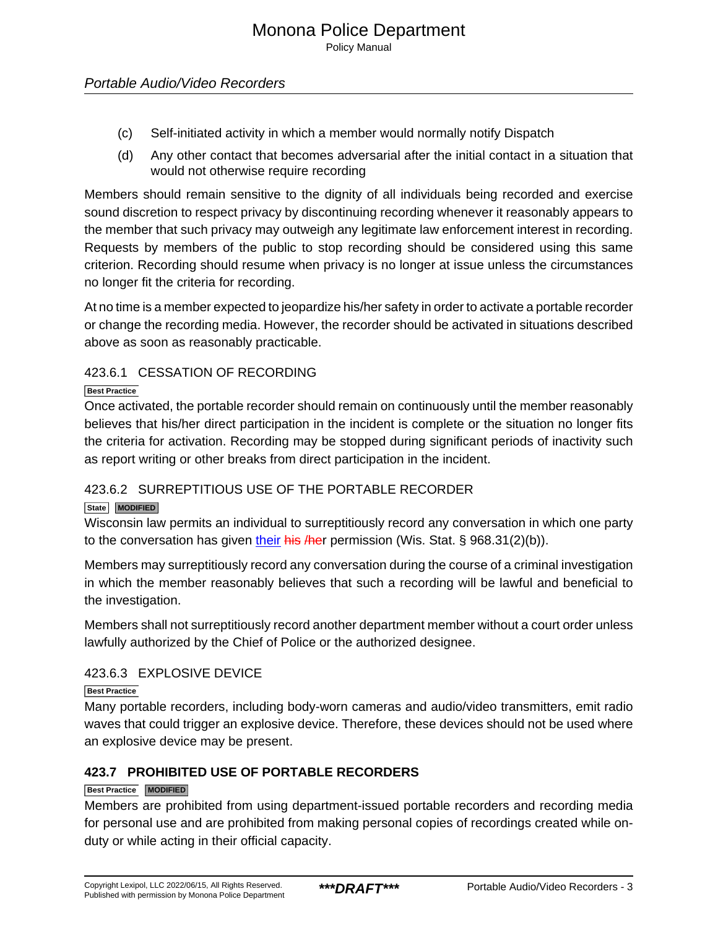- (c) Self-initiated activity in which a member would normally notify Dispatch
- (d) Any other contact that becomes adversarial after the initial contact in a situation that would not otherwise require recording

Members should remain sensitive to the dignity of all individuals being recorded and exercise sound discretion to respect privacy by discontinuing recording whenever it reasonably appears to the member that such privacy may outweigh any legitimate law enforcement interest in recording. Requests by members of the public to stop recording should be considered using this same criterion. Recording should resume when privacy is no longer at issue unless the circumstances no longer fit the criteria for recording.

At no time is a member expected to jeopardize his/her safety in order to activate a portable recorder or change the recording media. However, the recorder should be activated in situations described above as soon as reasonably practicable.

## 423.6.1 CESSATION OF RECORDING

#### **Best Practice**

Once activated, the portable recorder should remain on continuously until the member reasonably believes that his/her direct participation in the incident is complete or the situation no longer fits the criteria for activation. Recording may be stopped during significant periods of inactivity such as report writing or other breaks from direct participation in the incident.

## 423.6.2 SURREPTITIOUS USE OF THE PORTABLE RECORDER

#### **State MODIFIED**

Wisconsin law permits an individual to surreptitiously record any conversation in which one party to the conversation has given their his /her permission (Wis. Stat.  $\S$  968.31(2)(b)).

Members may surreptitiously record any conversation during the course of a criminal investigation in which the member reasonably believes that such a recording will be lawful and beneficial to the investigation.

Members shall not surreptitiously record another department member without a court order unless lawfully authorized by the Chief of Police or the authorized designee.

## 423.6.3 EXPLOSIVE DEVICE

#### **Best Practice**

Many portable recorders, including body-worn cameras and audio/video transmitters, emit radio waves that could trigger an explosive device. Therefore, these devices should not be used where an explosive device may be present.

## **423.7 PROHIBITED USE OF PORTABLE RECORDERS**

#### **Best Practice MODIFIED**

Members are prohibited from using department-issued portable recorders and recording media for personal use and are prohibited from making personal copies of recordings created while onduty or while acting in their official capacity.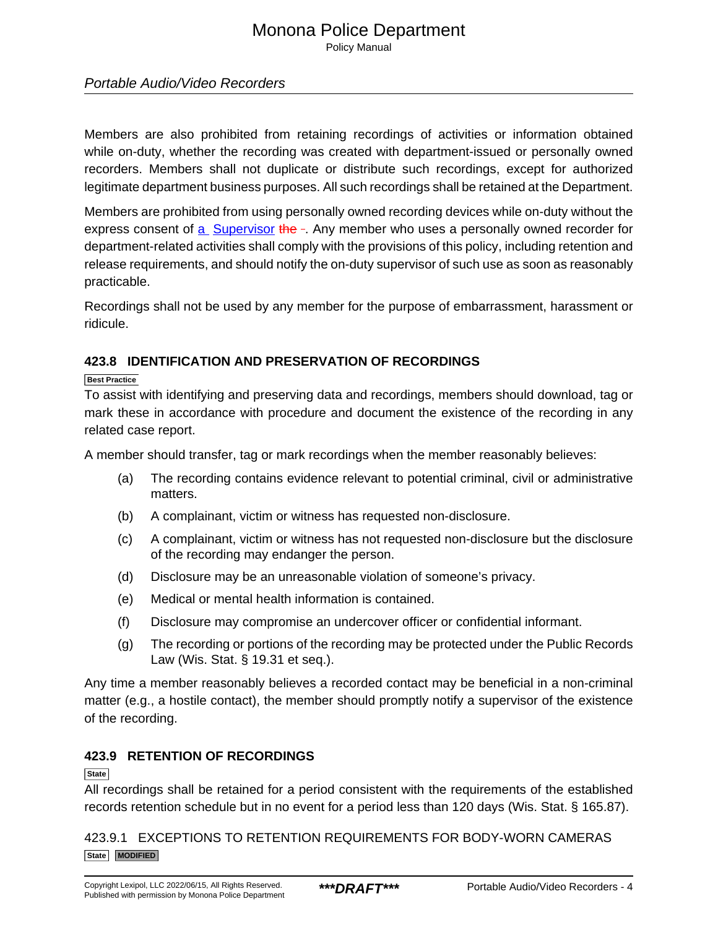## Monona Police Department

Policy Manual

## Portable Audio/Video Recorders

Members are also prohibited from retaining recordings of activities or information obtained while on-duty, whether the recording was created with department-issued or personally owned recorders. Members shall not duplicate or distribute such recordings, except for authorized legitimate department business purposes. All such recordings shall be retained at the Department.

Members are prohibited from using personally owned recording devices while on-duty without the express consent of a Supervisor the -. Any member who uses a personally owned recorder for department-related activities shall comply with the provisions of this policy, including retention and release requirements, and should notify the on-duty supervisor of such use as soon as reasonably practicable.

Recordings shall not be used by any member for the purpose of embarrassment, harassment or ridicule.

## **423.8 IDENTIFICATION AND PRESERVATION OF RECORDINGS**

#### **Best Practice**

To assist with identifying and preserving data and recordings, members should download, tag or mark these in accordance with procedure and document the existence of the recording in any related case report.

A member should transfer, tag or mark recordings when the member reasonably believes:

- (a) The recording contains evidence relevant to potential criminal, civil or administrative matters.
- (b) A complainant, victim or witness has requested non-disclosure.
- (c) A complainant, victim or witness has not requested non-disclosure but the disclosure of the recording may endanger the person.
- (d) Disclosure may be an unreasonable violation of someone's privacy.
- (e) Medical or mental health information is contained.
- (f) Disclosure may compromise an undercover officer or confidential informant.
- (g) The recording or portions of the recording may be protected under the Public Records Law (Wis. Stat. § 19.31 et seq.).

Any time a member reasonably believes a recorded contact may be beneficial in a non-criminal matter (e.g., a hostile contact), the member should promptly notify a supervisor of the existence of the recording.

#### **423.9 RETENTION OF RECORDINGS**

#### **State**

All recordings shall be retained for a period consistent with the requirements of the established records retention schedule but in no event for a period less than 120 days (Wis. Stat. § 165.87).

423.9.1 EXCEPTIONS TO RETENTION REQUIREMENTS FOR BODY-WORN CAMERAS **State MODIFIED**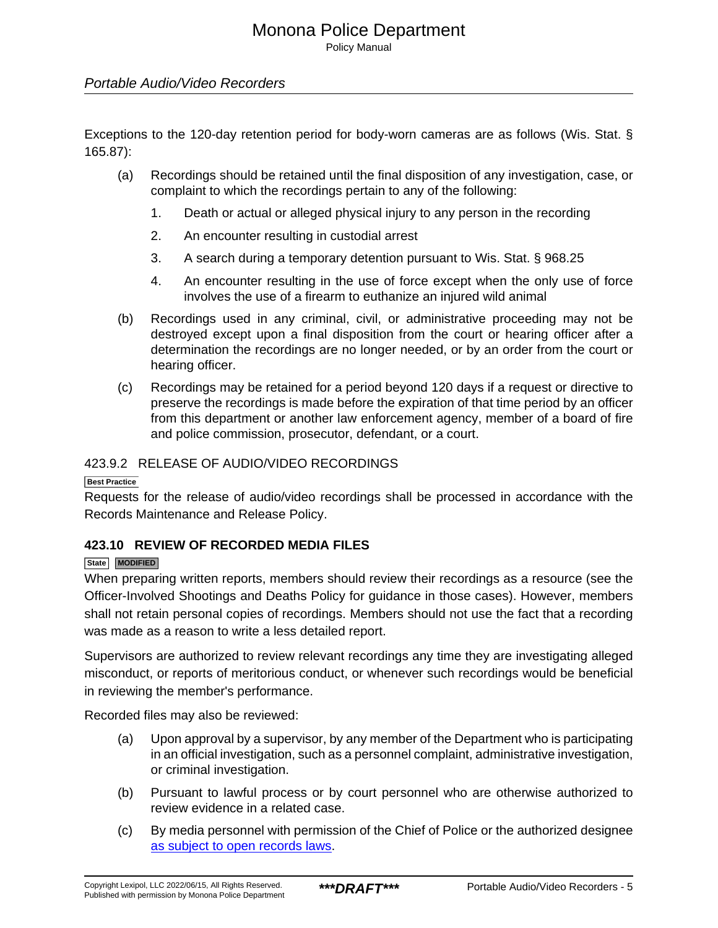## Monona Police Department

Policy Manual

#### Portable Audio/Video Recorders

Exceptions to the 120-day retention period for body-worn cameras are as follows (Wis. Stat. § 165.87):

- (a) Recordings should be retained until the final disposition of any investigation, case, or complaint to which the recordings pertain to any of the following:
	- 1. Death or actual or alleged physical injury to any person in the recording
	- 2. An encounter resulting in custodial arrest
	- 3. A search during a temporary detention pursuant to Wis. Stat. § 968.25
	- 4. An encounter resulting in the use of force except when the only use of force involves the use of a firearm to euthanize an injured wild animal
- (b) Recordings used in any criminal, civil, or administrative proceeding may not be destroyed except upon a final disposition from the court or hearing officer after a determination the recordings are no longer needed, or by an order from the court or hearing officer.
- (c) Recordings may be retained for a period beyond 120 days if a request or directive to preserve the recordings is made before the expiration of that time period by an officer from this department or another law enforcement agency, member of a board of fire and police commission, prosecutor, defendant, or a court.

#### 423.9.2 RELEASE OF AUDIO/VIDEO RECORDINGS

#### **Best Practice**

Requests for the release of audio/video recordings shall be processed in accordance with the Records Maintenance and Release Policy.

#### **423.10 REVIEW OF RECORDED MEDIA FILES**

#### **State MODIFIED**

When preparing written reports, members should review their recordings as a resource (see the Officer-Involved Shootings and Deaths Policy for guidance in those cases). However, members shall not retain personal copies of recordings. Members should not use the fact that a recording was made as a reason to write a less detailed report.

Supervisors are authorized to review relevant recordings any time they are investigating alleged misconduct, or reports of meritorious conduct, or whenever such recordings would be beneficial in reviewing the member's performance.

Recorded files may also be reviewed:

- (a) Upon approval by a supervisor, by any member of the Department who is participating in an official investigation, such as a personnel complaint, administrative investigation, or criminal investigation.
- (b) Pursuant to lawful process or by court personnel who are otherwise authorized to review evidence in a related case.
- (c) By media personnel with permission of the Chief of Police or the authorized designee as subject to open records laws.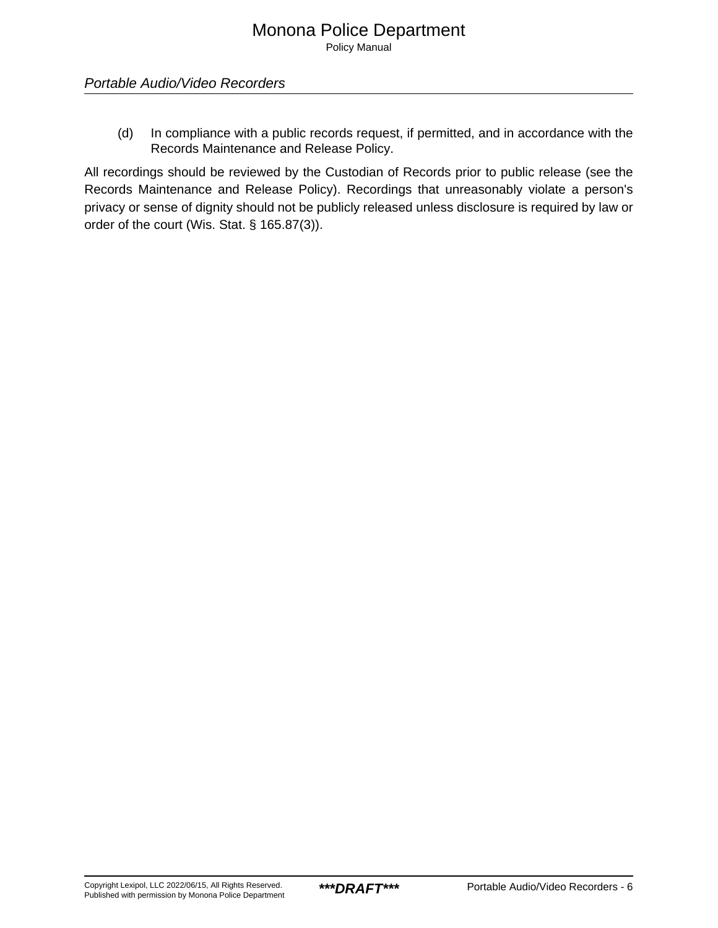(d) In compliance with a public records request, if permitted, and in accordance with the Records Maintenance and Release Policy.

All recordings should be reviewed by the Custodian of Records prior to public release (see the Records Maintenance and Release Policy). Recordings that unreasonably violate a person's privacy or sense of dignity should not be publicly released unless disclosure is required by law or order of the court (Wis. Stat. § 165.87(3)).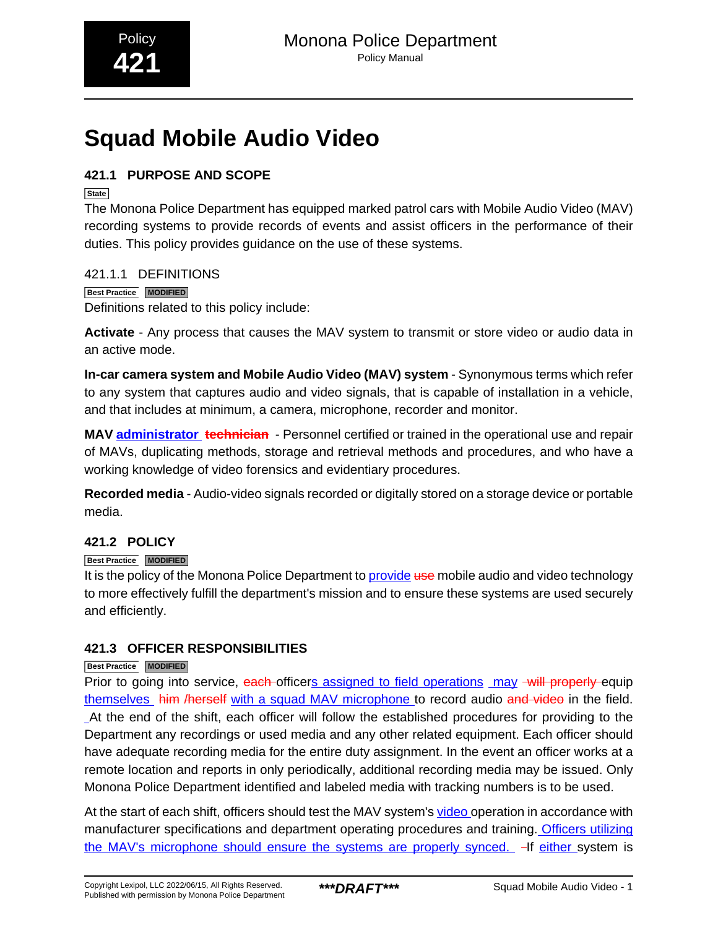# **Squad Mobile Audio Video**

## **421.1 PURPOSE AND SCOPE**

**State**

The Monona Police Department has equipped marked patrol cars with Mobile Audio Video (MAV) recording systems to provide records of events and assist officers in the performance of their duties. This policy provides guidance on the use of these systems.

## 421.1.1 DEFINITIONS

## **Best Practice MODIFIED**

Definitions related to this policy include:

**Activate** - Any process that causes the MAV system to transmit or store video or audio data in an active mode.

**In-car camera system and Mobile Audio Video (MAV) system** - Synonymous terms which refer to any system that captures audio and video signals, that is capable of installation in a vehicle, and that includes at minimum, a camera, microphone, recorder and monitor.

**MAV administrator technician** - Personnel certified or trained in the operational use and repair of MAVs, duplicating methods, storage and retrieval methods and procedures, and who have a working knowledge of video forensics and evidentiary procedures.

**Recorded media** - Audio-video signals recorded or digitally stored on a storage device or portable media.

## **421.2 POLICY**

## **Best Practice MODIFIED**

It is the policy of the Monona Police Department to provide use mobile audio and video technology to more effectively fulfill the department's mission and to ensure these systems are used securely and efficiently.

## **421.3 OFFICER RESPONSIBILITIES**

## **Best Practice MODIFIED**

Prior to going into service, each officers assigned to field operations may will properly equip themselves him /herself with a squad MAV microphone to record audio and video in the field. At the end of the shift, each officer will follow the established procedures for providing to the Department any recordings or used media and any other related equipment. Each officer should have adequate recording media for the entire duty assignment. In the event an officer works at a remote location and reports in only periodically, additional recording media may be issued. Only Monona Police Department identified and labeled media with tracking numbers is to be used.

At the start of each shift, officers should test the MAV system's video operation in accordance with manufacturer specifications and department operating procedures and training. Officers utilizing the MAV's microphone should ensure the systems are properly synced. - If either system is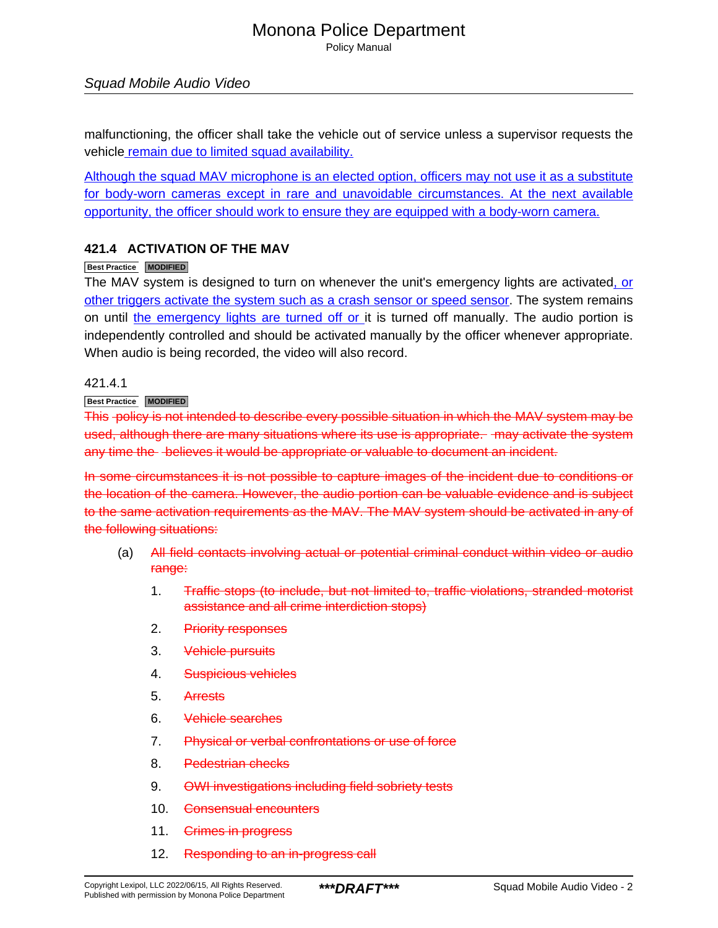malfunctioning, the officer shall take the vehicle out of service unless a supervisor requests the vehicle remain due to limited squad availability.

Although the squad MAV microphone is an elected option, officers may not use it as a substitute for body-worn cameras except in rare and unavoidable circumstances. At the next available opportunity, the officer should work to ensure they are equipped with a body-worn camera.

## **421.4 ACTIVATION OF THE MAV**

#### **Best Practice MODIFIED**

The MAV system is designed to turn on whenever the unit's emergency lights are activated, or other triggers activate the system such as a crash sensor or speed sensor. The system remains on until the emergency lights are turned off or it is turned off manually. The audio portion is independently controlled and should be activated manually by the officer whenever appropriate. When audio is being recorded, the video will also record.

#### 421.4.1

#### **Best Practice MODIFIED**

This policy is not intended to describe every possible situation in which the MAV system may be used, although there are many situations where its use is appropriate. may activate the system any time the believes it would be appropriate or valuable to document an incident.

In some circumstances it is not possible to capture images of the incident due to conditions or the location of the camera. However, the audio portion can be valuable evidence and is subject to the same activation requirements as the MAV. The MAV system should be activated in any of the following situations:

- (a) All field contacts involving actual or potential criminal conduct within video or audio range:
	- 1. Traffic stops (to include, but not limited to, traffic violations, stranded motorist assistance and all crime interdiction stops)
	- 2. Priority responses
	- 3. Vehicle pursuits
	- 4. Suspicious vehicles
	- 5. Arrests
	- 6. Vehicle searches
	- 7. Physical or verbal confrontations or use of force
	- 8. Pedestrian checks
	- 9. OWI investigations including field sobriety tests
	- 10. Consensual encounters
	- 11. <del>Crimes in progress</del>
	- 12. Responding to an in-progress call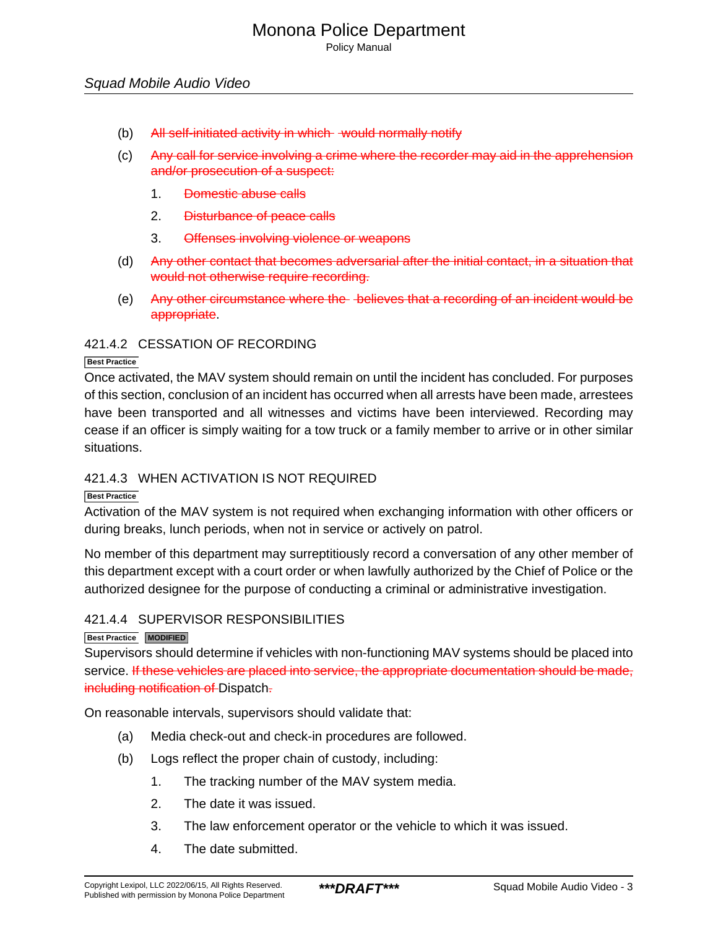- (b) All self-initiated activity in which would normally notify
- (c) Any call for service involving a crime where the recorder may aid in the apprehension and/or prosecution of a suspect:
	- 1. <del>Domestic abuse calls</del>
	- 2. <del>Disturbance of peace calls</del>
	- 3. Offenses involving violence or weapons
- (d) Any other contact that becomes adversarial after the initial contact, in a situation that would not otherwise require recording.
- (e) Any other circumstance where the believes that a recording of an incident would be appropriate.

#### 421.4.2 CESSATION OF RECORDING

#### **Best Practice**

Once activated, the MAV system should remain on until the incident has concluded. For purposes of this section, conclusion of an incident has occurred when all arrests have been made, arrestees have been transported and all witnesses and victims have been interviewed. Recording may cease if an officer is simply waiting for a tow truck or a family member to arrive or in other similar situations.

#### 421.4.3 WHEN ACTIVATION IS NOT REQUIRED

#### **Best Practice**

Activation of the MAV system is not required when exchanging information with other officers or during breaks, lunch periods, when not in service or actively on patrol.

No member of this department may surreptitiously record a conversation of any other member of this department except with a court order or when lawfully authorized by the Chief of Police or the authorized designee for the purpose of conducting a criminal or administrative investigation.

#### 421.4.4 SUPERVISOR RESPONSIBILITIES

#### **Best Practice MODIFIED**

Supervisors should determine if vehicles with non-functioning MAV systems should be placed into service. If these vehicles are placed into service, the appropriate documentation should be made, including notification of Dispatch.

On reasonable intervals, supervisors should validate that:

- (a) Media check-out and check-in procedures are followed.
- (b) Logs reflect the proper chain of custody, including:
	- 1. The tracking number of the MAV system media.
	- 2. The date it was issued.
	- 3. The law enforcement operator or the vehicle to which it was issued.
	- 4. The date submitted.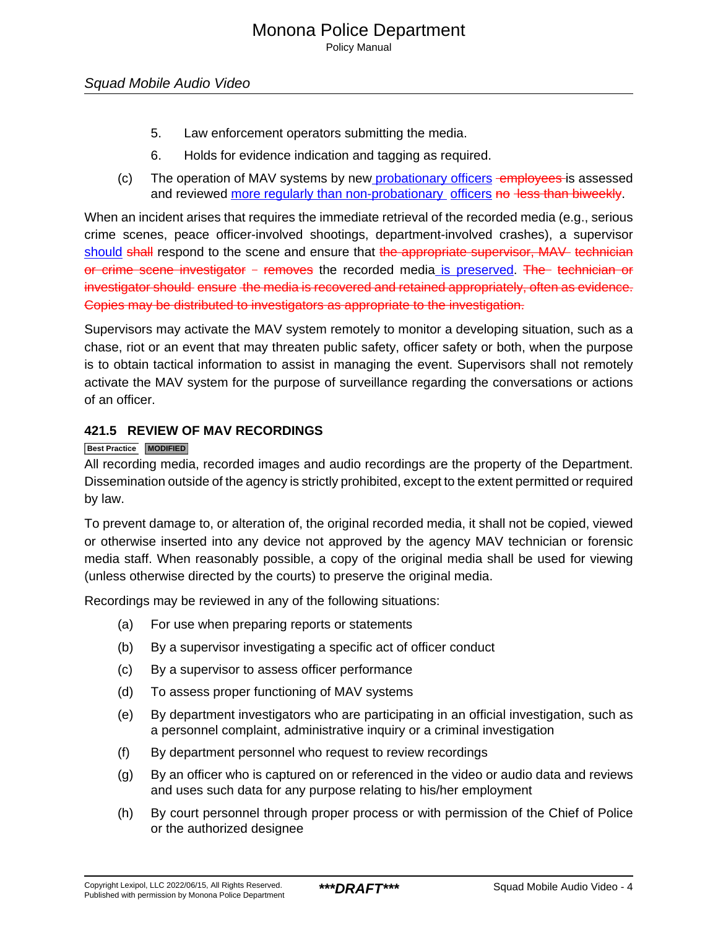- 5. Law enforcement operators submitting the media.
- 6. Holds for evidence indication and tagging as required.
- (c) The operation of MAV systems by new probationary officers employees is assessed and reviewed more regularly than non-probationary officers no less than biweekly.

When an incident arises that requires the immediate retrieval of the recorded media (e.g., serious crime scenes, peace officer-involved shootings, department-involved crashes), a supervisor should shall respond to the scene and ensure that the appropriate supervisor, MAV technician or crime scene investigator - removes the recorded media is preserved. The technician or investigator should ensure the media is recovered and retained appropriately, often as evidence. Copies may be distributed to investigators as appropriate to the investigation.

Supervisors may activate the MAV system remotely to monitor a developing situation, such as a chase, riot or an event that may threaten public safety, officer safety or both, when the purpose is to obtain tactical information to assist in managing the event. Supervisors shall not remotely activate the MAV system for the purpose of surveillance regarding the conversations or actions of an officer.

## **421.5 REVIEW OF MAV RECORDINGS**

#### **Best Practice MODIFIED**

All recording media, recorded images and audio recordings are the property of the Department. Dissemination outside of the agency is strictly prohibited, except to the extent permitted or required by law.

To prevent damage to, or alteration of, the original recorded media, it shall not be copied, viewed or otherwise inserted into any device not approved by the agency MAV technician or forensic media staff. When reasonably possible, a copy of the original media shall be used for viewing (unless otherwise directed by the courts) to preserve the original media.

Recordings may be reviewed in any of the following situations:

- (a) For use when preparing reports or statements
- (b) By a supervisor investigating a specific act of officer conduct
- (c) By a supervisor to assess officer performance
- (d) To assess proper functioning of MAV systems
- (e) By department investigators who are participating in an official investigation, such as a personnel complaint, administrative inquiry or a criminal investigation
- (f) By department personnel who request to review recordings
- (g) By an officer who is captured on or referenced in the video or audio data and reviews and uses such data for any purpose relating to his/her employment
- (h) By court personnel through proper process or with permission of the Chief of Police or the authorized designee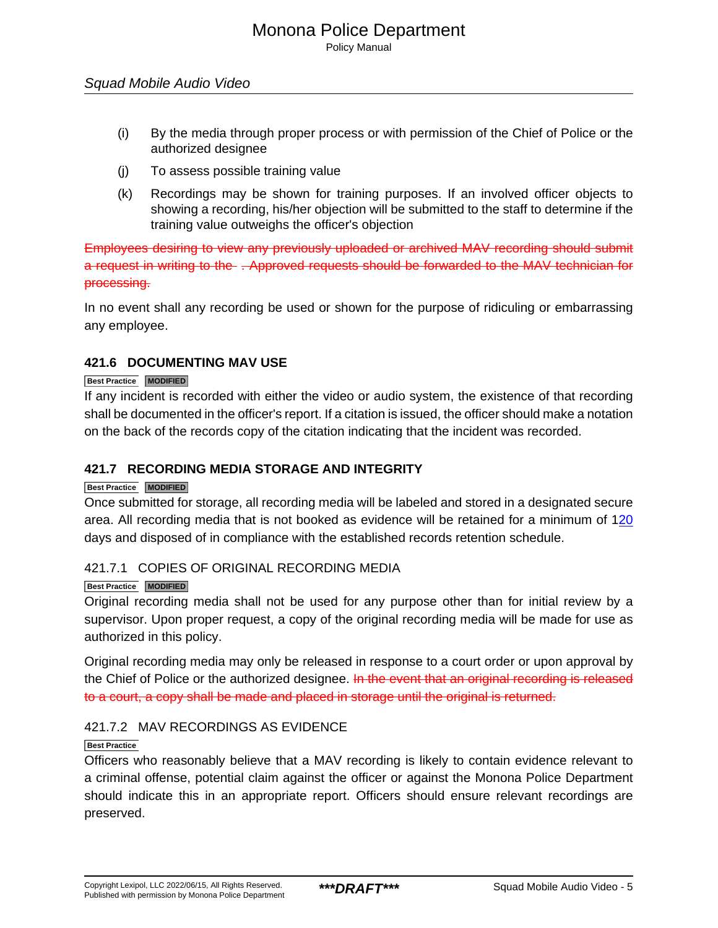- (i) By the media through proper process or with permission of the Chief of Police or the authorized designee
- (j) To assess possible training value
- (k) Recordings may be shown for training purposes. If an involved officer objects to showing a recording, his/her objection will be submitted to the staff to determine if the training value outweighs the officer's objection

Employees desiring to view any previously uploaded or archived MAV recording should submit a request in writing to the . Approved requests should be forwarded to the MAV technician for processing.

In no event shall any recording be used or shown for the purpose of ridiculing or embarrassing any employee.

## **421.6 DOCUMENTING MAV USE**

#### **Best Practice MODIFIED**

If any incident is recorded with either the video or audio system, the existence of that recording shall be documented in the officer's report. If a citation is issued, the officer should make a notation on the back of the records copy of the citation indicating that the incident was recorded.

## **421.7 RECORDING MEDIA STORAGE AND INTEGRITY**

#### **Best Practice MODIFIED**

Once submitted for storage, all recording media will be labeled and stored in a designated secure area. All recording media that is not booked as evidence will be retained for a minimum of 120 days and disposed of in compliance with the established records retention schedule.

#### 421.7.1 COPIES OF ORIGINAL RECORDING MEDIA

#### **Best Practice MODIFIED**

Original recording media shall not be used for any purpose other than for initial review by a supervisor. Upon proper request, a copy of the original recording media will be made for use as authorized in this policy.

Original recording media may only be released in response to a court order or upon approval by the Chief of Police or the authorized designee. In the event that an original recording is released to a court, a copy shall be made and placed in storage until the original is returned.

#### 421.7.2 MAV RECORDINGS AS EVIDENCE

#### **Best Practice**

Officers who reasonably believe that a MAV recording is likely to contain evidence relevant to a criminal offense, potential claim against the officer or against the Monona Police Department should indicate this in an appropriate report. Officers should ensure relevant recordings are preserved.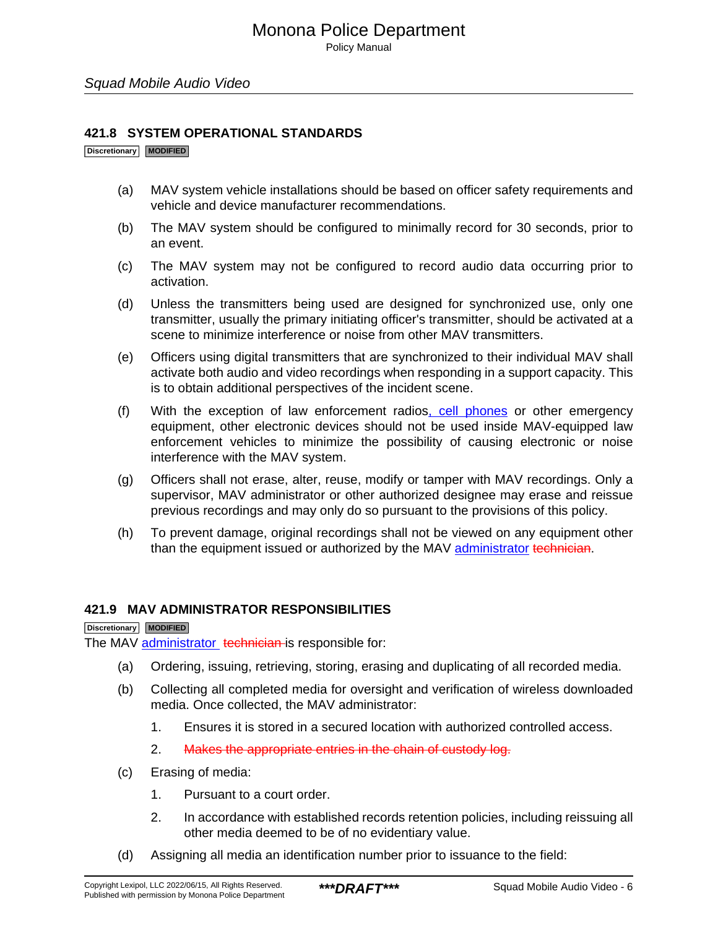#### **421.8 SYSTEM OPERATIONAL STANDARDS**

**Discretionary MODIFIED**

- (a) MAV system vehicle installations should be based on officer safety requirements and vehicle and device manufacturer recommendations.
- (b) The MAV system should be configured to minimally record for 30 seconds, prior to an event.
- (c) The MAV system may not be configured to record audio data occurring prior to activation.
- (d) Unless the transmitters being used are designed for synchronized use, only one transmitter, usually the primary initiating officer's transmitter, should be activated at a scene to minimize interference or noise from other MAV transmitters.
- (e) Officers using digital transmitters that are synchronized to their individual MAV shall activate both audio and video recordings when responding in a support capacity. This is to obtain additional perspectives of the incident scene.
- (f) With the exception of law enforcement radios, cell phones or other emergency equipment, other electronic devices should not be used inside MAV-equipped law enforcement vehicles to minimize the possibility of causing electronic or noise interference with the MAV system.
- (g) Officers shall not erase, alter, reuse, modify or tamper with MAV recordings. Only a supervisor, MAV administrator or other authorized designee may erase and reissue previous recordings and may only do so pursuant to the provisions of this policy.
- (h) To prevent damage, original recordings shall not be viewed on any equipment other than the equipment issued or authorized by the MAV administrator technician.

#### **421.9 MAV ADMINISTRATOR RESPONSIBILITIES**

**Discretionary MODIFIED**

The MAV administrator technician is responsible for:

- (a) Ordering, issuing, retrieving, storing, erasing and duplicating of all recorded media.
- (b) Collecting all completed media for oversight and verification of wireless downloaded media. Once collected, the MAV administrator:
	- 1. Ensures it is stored in a secured location with authorized controlled access.
	- 2. Makes the appropriate entries in the chain of custody log.
- (c) Erasing of media:
	- 1. Pursuant to a court order.
	- 2. In accordance with established records retention policies, including reissuing all other media deemed to be of no evidentiary value.
- (d) Assigning all media an identification number prior to issuance to the field: